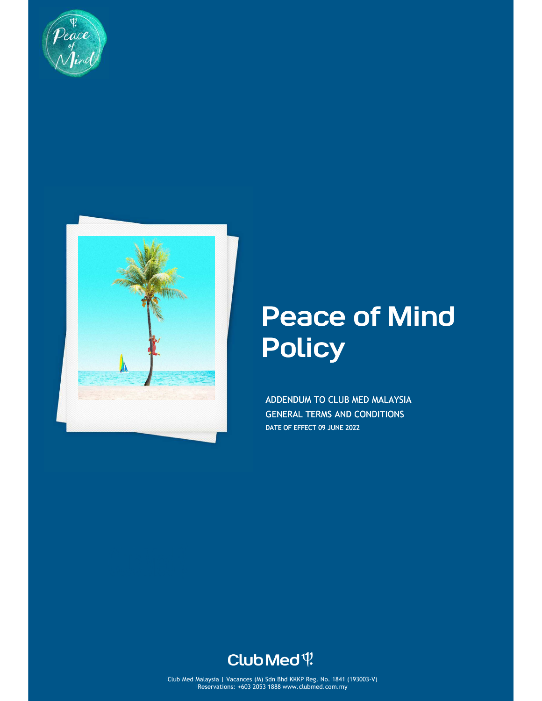



# Peace of Mind **Policy**

ADDENDUM TO CLUB MED MALAYSIA GENERAL TERMS AND CONDITIONS DATE OF EFFECT 09 JUNE 2022



Club Med Malaysia | Vacances (M) Sdn Bhd KKKP Reg. No. 1841 (193003-V) Reservations: +603 2053 1888 www.clubmed.com.my Club Med Malaysia | Vacances (M) Sdn Bhd KKKP Reg. No. 1841 (193003-V)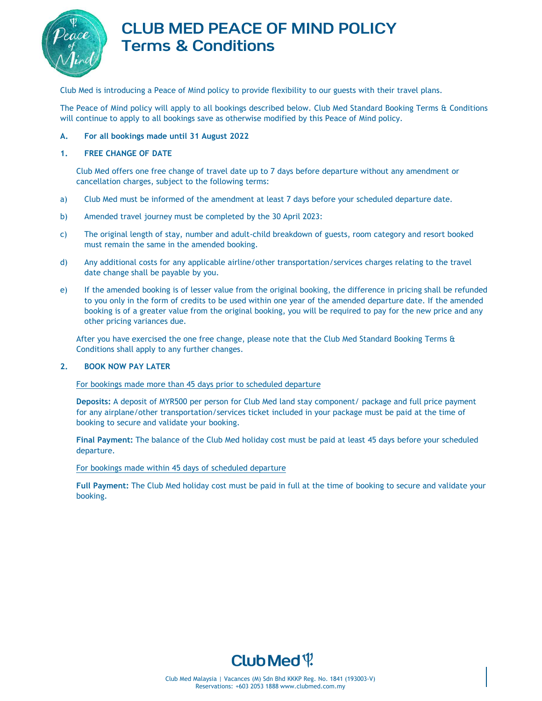

# CLUB MED PEACE OF MIND POLICY Terms & Conditions

Club Med is introducing a Peace of Mind policy to provide flexibility to our guests with their travel plans.

The Peace of Mind policy will apply to all bookings described below. Club Med Standard Booking Terms & Conditions will continue to apply to all bookings save as otherwise modified by this Peace of Mind policy.

## **A. For all bookings made until 31 August 2022**

#### **1. FREE CHANGE OF DATE**

Club Med offers one free change of travel date up to 7 days before departure without any amendment or cancellation charges, subject to the following terms:

- a) Club Med must be informed of the amendment at least 7 days before your scheduled departure date.
- b) Amended travel journey must be completed by the 30 April 2023:
- c) The original length of stay, number and adult-child breakdown of guests, room category and resort booked must remain the same in the amended booking.
- d) Any additional costs for any applicable airline/other transportation/services charges relating to the travel date change shall be payable by you.
- e) If the amended booking is of lesser value from the original booking, the difference in pricing shall be refunded to you only in the form of credits to be used within one year of the amended departure date. If the amended booking is of a greater value from the original booking, you will be required to pay for the new price and any other pricing variances due.

After you have exercised the one free change, please note that the Club Med Standard Booking Terms & Conditions shall apply to any further changes.

## **2. BOOK NOW PAY LATER**

#### For bookings made more than 45 days prior to scheduled departure

**Deposits:** A deposit of MYR500 per person for Club Med land stay component/ package and full price payment for any airplane/other transportation/services ticket included in your package must be paid at the time of booking to secure and validate your booking.

**Final Payment:** The balance of the Club Med holiday cost must be paid at least 45 days before your scheduled departure.

#### For bookings made within 45 days of scheduled departure

**Full Payment:** The Club Med holiday cost must be paid in full at the time of booking to secure and validate your booking.